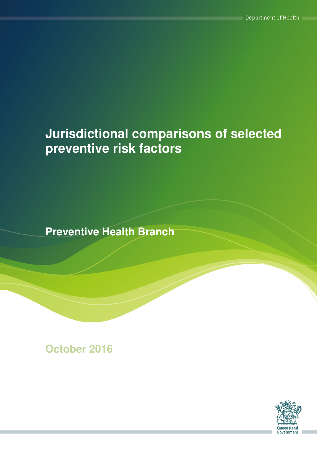# **Jurisdictional comparisons of selected preventive risk factors**

**Preventive Health Branch** 

**October 2016**

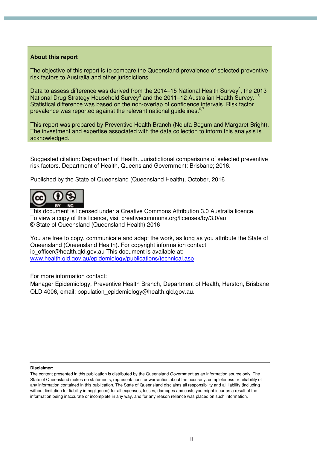#### **About this report**

The objective of this report is to compare the Queensland prevalence of selected preventive risk factors to Australia and other jurisdictions.

Data to assess difference was derived from the 2014–15 National Health Survey<sup>2</sup>, the 2013 National Drug Strategy Household Survey<sup>3</sup> and the 2011–12 Australian Health Survey.<sup>4,5</sup> Statistical difference was based on the non-overlap of confidence intervals. Risk factor prevalence was reported against the relevant national guidelines.<sup>6,7</sup>

This report was prepared by Preventive Health Branch (Nelufa Begum and Margaret Bright). The investment and expertise associated with the data collection to inform this analysis is acknowledged.

Suggested citation: Department of Health. Jurisdictional comparisons of selected preventive risk factors. Department of Health, Queensland Government: Brisbane; 2016.

Published by the State of Queensland (Queensland Health), October, 2016



This document is licensed under a Creative Commons Attribution 3.0 Australia licence. To view a copy of this licence, visit creativecommons.org/licenses/by/3.0/au © State of Queensland (Queensland Health) 2016

You are free to copy, communicate and adapt the work, as long as you attribute the State of Queensland (Queensland Health). For copyright information contact ip\_officer@health.qld.gov.au This document is available at: www.health.qld.gov.au/epidemiology/publications/technical.asp

For more information contact:

Manager Epidemiology, Preventive Health Branch, Department of Health, Herston, Brisbane QLD 4006, email: population\_epidemiology@health.qld.gov.au.

#### **Disclaimer:**

The content presented in this publication is distributed by the Queensland Government as an information source only. The State of Queensland makes no statements, representations or warranties about the accuracy, completeness or reliability of any information contained in this publication. The State of Queensland disclaims all responsibility and all liability (including without limitation for liability in negligence) for all expenses, losses, damages and costs you might incur as a result of the information being inaccurate or incomplete in any way, and for any reason reliance was placed on such information.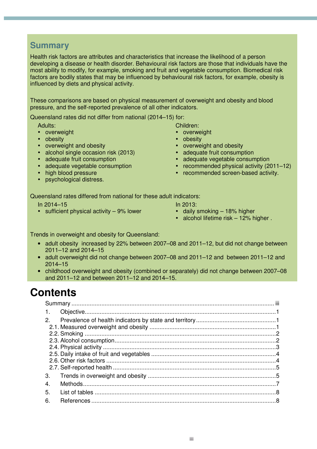### **Summary**

Health risk factors are attributes and characteristics that increase the likelihood of a person developing a disease or health disorder. Behavioural risk factors are those that individuals have the most ability to modify, for example, smoking and fruit and vegetable consumption. Biomedical risk factors are bodily states that may be influenced by behavioural risk factors, for example, obesity is influenced by diets and physical activity.

These comparisons are based on physical measurement of overweight and obesity and blood pressure, and the self-reported prevalence of all other indicators.

Queensland rates did not differ from national (2014–15) for:

Adults:

- overweight
- obesity
- overweight and obesity
- alcohol single occasion risk (2013)
- adequate fruit consumption
- adequate vegetable consumption
- high blood pressure
- psychological distress.

Children:

- overweight
- obesity
- overweight and obesity<br>• adequate fruit consump
- adequate fruit consumption
- adequate vegetable consumption
- recommended physical activity (2011–12)
- recommended screen-based activity.

Queensland rates differed from national for these adult indicators:

- In 2014–15
- sufficient physical activity 9% lower
- In 2013:
- daily smoking  $-18%$  higher
- alcohol lifetime risk 12% higher.

Trends in overweight and obesity for Queensland:

- adult obesity increased by 22% between 2007–08 and 2011–12, but did not change between 2011–12 and 2014–15
- adult overweight did not change between 2007–08 and 2011–12 and between 2011–12 and 2014–15
- childhood overweight and obesity (combined or separately) did not change between 2007–08 and 2011–12 and between 2011–12 and 2014–15.

# **Contents**

| $\mathbf{1}$ . |  |
|----------------|--|
| 2              |  |
|                |  |
|                |  |
|                |  |
|                |  |
|                |  |
|                |  |
| 3.             |  |
| 4.             |  |
| 5.             |  |
| 6.             |  |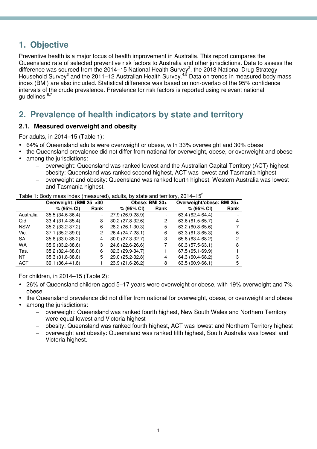# **1. Objective**

Preventive health is a major focus of health improvement in Australia. This report compares the Queensland rate of selected preventive risk factors to Australia and other jurisdictions. Data to assess the difference was sourced from the 2014–15 National Health Survey<sup>2</sup>, the 2013 National Drug Strategy Household Survey<sup>3</sup> and the 2011–12 Australian Health Survey.<sup>4,5</sup> Data on trends in measured body mass index (BMI) are also included. Statistical difference was based on non-overlap of the 95% confidence intervals of the crude prevalence. Prevalence for risk factors is reported using relevant national guidelines.6,7

## **2. Prevalence of health indicators by state and territory**

#### **2.1. Measured overweight and obesity**

For adults, in 2014–15 (Table 1):

- 64% of Queensland adults were overweight or obese, with 33% overweight and 30% obese
- the Queensland prevalence did not differ from national for overweight, obese, or overweight and obese
- among the jurisdictions:
	- − overweight: Queensland was ranked lowest and the Australian Capital Territory (ACT) highest
	- − obesity: Queensland was ranked second highest, ACT was lowest and Tasmania highest
	- − overweight and obesity: Queensland was ranked fourth highest, Western Australia was lowest and Tasmania highest.

Table 1: Body mass index (measured), adults, by state and territory,  $2014-15^2$ 

|            | Overweight: (BMI 25-<30 |                          | $1$ able $1$ . Doug mass much (modsured), addits, by state and termory, Lo I + $15$<br>Obese: BMI 30+ |      | Overweight/obese: BMI 25+ |      |
|------------|-------------------------|--------------------------|-------------------------------------------------------------------------------------------------------|------|---------------------------|------|
|            | $% (95\% \text{ Cl})$   | Rank                     | $% (95\% \text{ Cl})$                                                                                 | Rank | % (95% CI)                | Rank |
| Australia  | 35.5 (34.6-36.4)        | $\overline{\phantom{a}}$ | 27.9 (26.9-28.9)                                                                                      |      | 63.4 (62.4-64.4)          |      |
| Qld        | 33.4 (31.4-35.4)        | 8                        | $30.2(27.8-32.6)$                                                                                     | 2    | 63.6 (61.5-65.7)          | 4    |
| <b>NSW</b> | 35.2 (33.2-37.2)        | 6                        | 28.2 (26.1-30.3)                                                                                      | 5    | 63.2 (60.8-65.6)          |      |
| Vic.       | 37.1 (35.2-39.0)        | 2                        | 26.4 (24.7-28.1)                                                                                      | 6    | 63.3 (61.3-65.3)          | 6    |
| <b>SA</b>  | 35.6 (33.0-38.2)        | 4                        | $30.0(27.3-32.7)$                                                                                     | 3    | 65.8 (63.4-68.2)          | 2    |
| <b>WA</b>  | 35.9 (33.2-38.6)        | 3                        | 24.6 (22.6-26.6)                                                                                      |      | 60.3 (57.5-63.1)          | 8    |
| Tas.       | 35.2 (32.4-38.0)        | 6                        | 32.3 (29.9-34.7)                                                                                      |      | 67.5 (65.1-69.9)          |      |
| NT         | 35.3 (31.8-38.8)        | 5                        | 29.0 (25.2-32.8)                                                                                      | 4    | 64.3 (60.4-68.2)          | 3    |
| <b>ACT</b> | 39.1 (36.4-41.8)        |                          | 23.9 (21.6-26.2)                                                                                      | 8    | 63.5 (60.9-66.1)          | 5    |

For children, in 2014–15 (Table 2):

- 26% of Queensland children aged 5–17 years were overweight or obese, with 19% overweight and 7% obese
- the Queensland prevalence did not differ from national for overweight, obese, or overweight and obese among the jurisdictions:
	- − overweight: Queensland was ranked fourth highest, New South Wales and Northern Territory were equal lowest and Victoria highest
	- − obesity: Queensland was ranked fourth highest, ACT was lowest and Northern Territory highest
	- − overweight and obesity: Queensland was ranked fifth highest, South Australia was lowest and Victoria highest.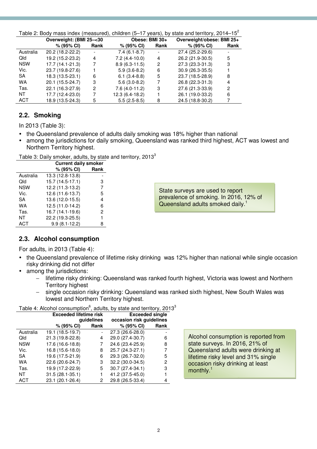| Table 2: Body mass index (measured), children (5–17 years), by state and territory, 2014–15 <sup>2</sup> |                         |      |                 |                          |                           |      |
|----------------------------------------------------------------------------------------------------------|-------------------------|------|-----------------|--------------------------|---------------------------|------|
|                                                                                                          | Overweight: (BMI 25-<30 |      | Obese: BMI 30+  |                          | Overweight/obese: BMI 25+ |      |
|                                                                                                          | $% (95\% CI)$           | Rank | % (95% CI)      | Rank                     | % (95% CI)                | Rank |
| Australia                                                                                                | 20.2 (18.2-22.2)        |      | $7.4(6.1-8.7)$  | $\overline{\phantom{a}}$ | 27.4 (25.2-29.6)          |      |
| <b>Qld</b>                                                                                               | 19.2 (15.2-23.2)        | 4    | $7.2(4.4-10.0)$ | 4                        | 26.2 (21.9-30.5)          | 5    |
| <b>NSW</b>                                                                                               | 17.7 (14.1-21.3)        |      | $8.9(6.3-11.5)$ | 2                        | 27.3 (23.3-31.3)          | 3    |
| Vic.                                                                                                     | 23.7 (19.8-27.6)        |      | $5.9(3.6-8.2)$  | 6                        | 30.9 (26.3-35.5)          |      |
| <b>SA</b>                                                                                                | 18.3 (13.5-23.1)        | 6    | $6.1(3.4-8.8)$  | 5                        | 23.7 (18.5-28.9)          | 8    |
| WA                                                                                                       | 20.1 (15.5-24.7)        | 3    | $5.6(3.0-8.2)$  | 7                        | 26.8 (22.3-31.3)          | 4    |
| Tas.                                                                                                     | 22.1 (16.3-27.9)        | 2    | $7.6(4.0-11.2)$ | 3                        | 27.6 (21.3-33.9)          | 2    |
| ΝT                                                                                                       | 17.7 (12.4-23.0)        |      | 12.3 (6.4-18.2) |                          | 26.1 (19.0-33.2)          | 6    |
| <b>ACT</b>                                                                                               | 18.9 (13.5-24.3)        | 5    | $5.5(2.5-8.5)$  | 8                        | 24.5 (18.8-30.2)          |      |

# **2.2. Smoking**

In 2013 (Table 3):

- the Queensland prevalence of adults daily smoking was 18% higher than national
- among the jurisdictions for daily smoking, Queensland was ranked third highest, ACT was lowest and Northern Territory highest.

Table 3: Daily smoker, adults, by state and territory, 2013 $^3$ 

|            | <b>Current daily smoker</b> |      |  |  |  |  |
|------------|-----------------------------|------|--|--|--|--|
|            | % (95% CI)                  | Rank |  |  |  |  |
| Australia  | 13.3 (12.8-13.8)            |      |  |  |  |  |
| Qld        | 15.7 (14.5-17.1)            | 3    |  |  |  |  |
| <b>NSW</b> | 12.2 (11.3-13.2)            | 7    |  |  |  |  |
| Vic.       | 12.6 (11.6-13.7)            | 5    |  |  |  |  |
| SА         | 13.6 (12.0-15.5)            | 4    |  |  |  |  |
| WA         | 12.5 (11.0-14.2)            | 6    |  |  |  |  |
| Tas.       | 16.7 (14.1-19.6)            | 2    |  |  |  |  |
| NΤ         | 22.2 (19.3-25.5)            | 1    |  |  |  |  |
| <b>ACT</b> | $9.9(8.1-12.2)$             | 8    |  |  |  |  |

State surveys are used to report prevalence of smoking. In 2016, 12% of Queensland adults smoked daily.<sup>1</sup>

### **2.3. Alcohol consumption**

For adults, in 2013 (Table 4):

- the Queensland prevalence of lifetime risky drinking was 12% higher than national while single occasion risky drinking did not differ
- among the jurisdictions:
	- − lifetime risky drinking: Queensland was ranked fourth highest, Victoria was lowest and Northern Territory highest
	- single occasion risky drinking: Queensland was ranked sixth highest, New South Wales was lowest and Northern Territory highest.

|            | <b>Exceeded lifetime risk</b> |            | <b>Exceeded single</b>   |      |
|------------|-------------------------------|------------|--------------------------|------|
|            |                               | quidelines | occasion risk guidelines |      |
|            | % (95% CI)                    | Rank       | % (95% CI)               | Rank |
| Australia  | 19.1 (18.5-19.7)              |            | 27.3 (26.6-28.0)         |      |
| Qld        | 21.3 (19.8-22.8)              | 4          | 29.0 (27.4-30.7)         | 6    |
| <b>NSW</b> | 17.6 (16.6-18.8)              |            | 24.6 (23.4-25.9)         | 8    |
| Vic.       | 16.8 (15.6-18.0)              | 8          | 25.7 (24.3-27.1)         | 7    |
| SA         | 19.6 (17.5-21.9)              | 6          | 29.3 (26.7-32.0)         | 5    |
| <b>WA</b>  | 22.6 (20.6-24.7)              | 3          | 32.2 (30.0-34.5)         | 2    |
| Tas.       | 19.9 (17.2-22.9)              | 5.         | 30.7 (27.4-34.1)         | 3    |
| NΤ         | $31.5(28.1 - 35.1)$           |            | 41.2 (37.5-45.0)         |      |
| ACT        | 23.1 (20.1-26.4)              | 2          | 29.8 (26.5-33.4)         |      |

Alcohol consumption is reported from state surveys. In 2016, 21% of Queensland adults were drinking at lifetime risky level and 31% single occasion risky drinking at least monthly.<sup>1</sup>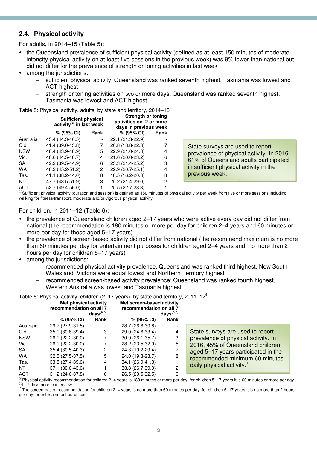#### **2.4. Physical activity**

For adults, in 2014–15 (Table 5):

- the Queensland prevalence of sufficient physical activity (defined as at least 150 minutes of moderate intensity physical activity on at least five sessions in the previous week) was 9% lower than national but did not differ for the prevalence of strength or toning activities in last week
- among the jurisdictions:
	- − sufficient physical activity: Queensland was ranked seventh highest, Tasmania was lowest and ACT highest
	- − strength or toning activities on two or more days: Queensland was ranked seventh highest, Tasmania was lowest and ACT highest.

| Table 5: Physical activity, adults, by state and territory, 2014-15 <sup>2</sup> |  |  |
|----------------------------------------------------------------------------------|--|--|
|                                                                                  |  |  |

|            | <b>Sufficient physical</b><br>$activity(a)$ in last week |      | <b>Strength or toning</b><br>activities on 2 or more<br>days in previous week |      |
|------------|----------------------------------------------------------|------|-------------------------------------------------------------------------------|------|
|            | % (95% CI)                                               | Rank | % (95% CI)                                                                    | Rank |
| Australia  | 45.4 (44.3-46.5)                                         |      | 22.1 (21.3-22.9)                                                              |      |
| Qld        | 41.4 (39.0-43.8)                                         | 7    | 20.8 (18.8-22.8)                                                              |      |
| <b>NSW</b> | 46.4 (43.9-48.9)                                         | 5    | 22.9 (21.0-24.8)                                                              | 4    |
| Vic.       | 46.6 (44.5-48.7)                                         | 4    | 21.6 (20.0-23.2)                                                              | 6    |
| SA         | 42.2 (39.5-44.9)                                         | 6    | 23.3 (21.4-25.2)                                                              | 3    |
| WA         | 48.2 (45.2-51.2)                                         | 2    | 22.9 (20.7-25.1)                                                              | 4    |
| Tas.       | 41.1 (38.2-44.0)                                         | 8    | 18.5 (16.2-20.8)                                                              | 8    |
| NΤ         | 47.7 (43.5-51.9)                                         | 3    | 25.2 (21.4-29.0)                                                              | 2    |
| ACT        | 52.7 (49.4-56.0)                                         |      | 25.5 (22.7-28.3)                                                              |      |

State surveys are used to report prevalence of physical activity. In 2016, 61% of Queensland adults participated in sufficient physical activity in the previous week.<sup>1</sup>

Sufficient physical activity (duration and session) is defined as 150 minutes of physical activity per week from five or more sessions including walking for fitness/transport, moderate and/or vigorous physical activity

#### For children, in 2011–12 (Table 6):

- the prevalence of Queensland children aged 2–17 years who were active every day did not differ from national (the recommendation is 180 minutes or more per day for children 2–4 years and 60 minutes or more per day for those aged 5–17 years)
- the prevalence of screen-based activity did not differ from national (the recommend maximum is no more than 60 minutes per day for entertainment purposes for children aged 2–4 years and no more than 2 hours per day for children 5–17 years)
- among the jurisdictions:
	- − recommended physical activity prevalence: Queensland was ranked third highest, New South Wales and Victoria were equal lowest and Northern Territory highest
	- − recommended screen-based activity prevalence: Queensland was ranked fourth highest, Western Australia was lowest and Tasmania highest.

|                                    | Table 6: Physical activity, children (2–17 years), by state and territory, 2011–12 $\degree$ |  |
|------------------------------------|----------------------------------------------------------------------------------------------|--|
| <b>Adama and and and analyzing</b> | <b>Mateovenia bened entitled</b>                                                             |  |

|            | Met physical activity<br>recommendation on all 7<br>$days^{(a,b)}$ |      | Met screen-based activity<br>recommendation on all 7<br>$days^{(b,c)}$ |                          |                                       |
|------------|--------------------------------------------------------------------|------|------------------------------------------------------------------------|--------------------------|---------------------------------------|
|            | % (95% CI)                                                         | Rank | $% (95\% CI)$                                                          | Rank                     |                                       |
| Australia  | 29.7 (27.9-31.5)                                                   |      | 28.7 (26.6-30.8)                                                       | $\overline{\phantom{0}}$ |                                       |
| Qld        | 35.1 (30.8-39.4)                                                   | 3    | 29.0 (24.6-33.4)                                                       | 4                        | State surveys are used to report      |
| <b>NSW</b> | 26.1 (22.2-30.0)                                                   |      | $30.9(26.1 - 35.7)$                                                    | 3                        | prevalence of physical activity. In   |
| Vic.       | 26.1 (22.2-30.0)                                                   |      | 28.2 (23.5-32.9)                                                       | 5                        | 2016, 45% of Queensland children      |
| <b>SA</b>  | 35.4 (30.5-40.3)                                                   | 2    | 24.3 (19.2-29.4)                                                       |                          | aged 5-17 years participated in the   |
| WA         | 32.5 (27.5-37.5)                                                   | 5    | 24.0 (19.3-28.7)                                                       | 8                        | recommended minimum 60 minutes        |
| Tas.       | $33.5(27.4-39.6)$                                                  | 4    | 34.1 (26.9-41.3)                                                       |                          |                                       |
| NT         | 37.1 (30.6-43.6)                                                   |      | 33.3 (26.7-39.9)                                                       | 2                        | daily physical activity. <sup>1</sup> |
| ACT        | $31.2(24.6-37.8)$                                                  | 6    | 26.5 (20.5-32.5)                                                       | 6                        |                                       |

<sup>(a)</sup>Physical activity recommendation for children 2–4 years is 180 minutes or more per day, for children 5–17 years it is 60 minutes or more per day (b) In 7 days prior to interview

 $\degree$ The screen-based recommendation for children 2–4 years is no more than 60 minutes per day, for children 5–17 years it is no more than 2 hours per day for entertainment purposes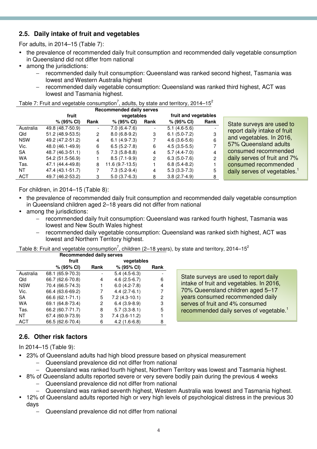#### **2.5. Daily intake of fruit and vegetables**

For adults, in 2014–15 (Table 7):

- the prevalence of recommended daily fruit consumption and recommended daily vegetable consumption in Queensland did not differ from national
- among the jurisdictions:
	- − recommended daily fruit consumption: Queensland was ranked second highest, Tasmania was lowest and Western Australia highest
	- − recommended daily vegetable consumption: Queensland was ranked third highest, ACT was lowest and Tasmania highest.

#### Table 7: Fruit and vegetable consumption<sup>7</sup>, adults, by state and territory, 2014–15<sup>2</sup>

|            | fruit             |                | vegetables       |                | fruit and vegetables |      |                                          |
|------------|-------------------|----------------|------------------|----------------|----------------------|------|------------------------------------------|
|            | $% (95\% CI)$     | Rank           | % (95% CI)       | Rank           | % (95% CI)           | Rank | State surveys are used to                |
| Australia  | 49.8 (48.7-50.9)  |                | $7.0(6.4-7.6)$   |                | $5.1(4.6-5.6)$       |      |                                          |
| Qld        | $51.2(48.9-53.5)$ | $\overline{2}$ | $8.0(6.8-9.2)$   | 3              | $6.1(5.0-7.2)$       | 3    | report daily intake of fruit             |
| <b>NSW</b> | 49.2 (47.2-51.2)  | 4              | $6.1(4.9-7.3)$   |                | $4.6(3.6-5.6)$       | 6    | and vegetables. In 2016,                 |
| Vic.       | 48.0 (46.1-49.9)  | 6              | $6.5(5.2-7.8)$   | 6              | $4.5(3.5-5.5)$       |      | 57% Queensland adults                    |
| <b>SA</b>  | 48.7 (46.3-51.1)  | 5              | $7.3(5.8-8.8)$   | 4              | $5.7(4.4-7.0)$       | 4    | consumed recommended                     |
| <b>WA</b>  | 54.2 (51.5-56.9)  |                | $8.5(7.1-9.9)$   | $\overline{2}$ | $6.3(5.0-7.6)$       | 2    | daily serves of fruit and 7%             |
| Tas.       | 47.1 (44.4-49.8)  | 8              | $11.6(9.7-13.5)$ |                | $6.8(5.4-8.2)$       |      | consumed recommended                     |
| NT         | 47.4 (43.1-51.7)  |                | $7.3(5.2-9.4)$   | 4              | $5.3(3.3-7.3)$       | 5    | daily serves of vegetables. <sup>1</sup> |
| <b>ACT</b> | 49.7 (46.2-53.2)  | 3              | $5.0(3.7-6.3)$   | 8              | $3.8(2.7-4.9)$       | 8    |                                          |

For children, in 2014–15 (Table 8):

- the prevalence of recommended daily fruit consumption and recommended daily vegetable consumption in Queensland children aged 2–18 years did not differ from national
- among the jurisdictions:
	- − recommended daily fruit consumption: Queensland was ranked fourth highest, Tasmania was lowest and New South Wales highest
	- − recommended daily vegetable consumption: Queensland was ranked sixth highest, ACT was lowest and Northern Territory highest.

Table 8: Fruit and vegetable consumption<sup>7</sup>, children (2–18 years), by state and territory, 2014–15<sup>2</sup> **Recommended daily serves** 

| Recommended daily serves |                  |      |                 |      |  |  |  |  |
|--------------------------|------------------|------|-----------------|------|--|--|--|--|
|                          | fruit            |      | vegetables      |      |  |  |  |  |
|                          | % (95% CI)       | Rank | % (95% CI)      | Rank |  |  |  |  |
| Australia                | 68.1 (65.9-70.3) |      | $5.4(4.5-6.3)$  |      |  |  |  |  |
| Qld                      | 66.7 (62.6-70.8) | 4    | $4.6(2.5-6.7)$  | 6    |  |  |  |  |
| <b>NSW</b>               | 70.4 (66.5-74.3) |      | $6.0(4.2-7.8)$  | 4    |  |  |  |  |
| Vic.                     | 66.4 (63.6-69.2) |      | $4.4(2.7-6.1)$  |      |  |  |  |  |
| SA                       | 66.6 (62.1-71.1) | 5    | $7.2(4.3-10.1)$ | 2    |  |  |  |  |
| <b>WA</b>                | 69.1 (64.8-73.4) | 2    | $6.4(3.9-8.9)$  | 3    |  |  |  |  |
| Tas.                     | 66.2 (60.7-71.7) | 8    | $5.7(3.3-8.1)$  | 5    |  |  |  |  |
| NΤ                       | 67.4 (60.9-73.9) | 3    | $7.4(3.6-11.2)$ |      |  |  |  |  |
| ACT                      | 66.5 (62.6-70.4) | 6    | $4.2(1.6-6.8)$  | 8    |  |  |  |  |

State surveys are used to report daily intake of fruit and vegetables. In 2016, 70% Queensland children aged 5–17 years consumed recommended daily serves of fruit and 4% consumed recommended daily serves of vegetable.<sup>1</sup>

#### **2.6. Other risk factors**

In 2014–15 (Table 9):

- 23% of Queensland adults had high blood pressure based on physical measurement
	- − Queensland prevalence did not differ from national
	- − Queensland was ranked fourth highest, Northern Territory was lowest and Tasmania highest.
- 8% of Queensland adults reported severe or very severe bodily pain during the previous 4 weeks
	- − Queensland prevalence did not differ from national
	- − Queensland was ranked seventh highest, Western Australia was lowest and Tasmania highest.
- 12% of Queensland adults reported high or very high levels of psychological distress in the previous 30 days
	- Queensland prevalence did not differ from national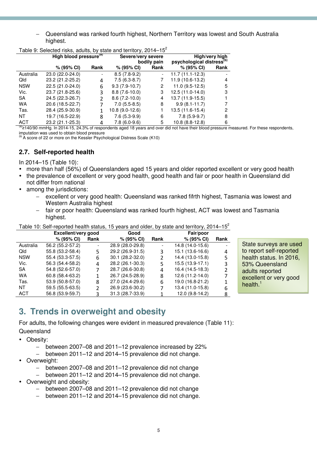− Queensland was ranked fourth highest, Northern Territory was lowest and South Australia highest.

|            | High blood pressure <sup>(a)</sup> |      | Severe/very severe | bodily pain | High/very high<br>psychological distress <sup>(b)</sup> |      |  |
|------------|------------------------------------|------|--------------------|-------------|---------------------------------------------------------|------|--|
|            | % (95% CI)                         | Rank | % (95% CI)         | Rank        | $% (95\% CI)$                                           | Rank |  |
| Australia  | 23.0 (22.0-24.0)                   |      | $8.5(7.8-9.2)$     |             | $11.7(11.1-12.3)$                                       |      |  |
| Qld        | 23.2 (21.2-25.2)                   | 4    | $7.5(6.3-8.7)$     |             | 11.9 (10.6-13.2)                                        | 4    |  |
| <b>NSW</b> | 22.5 (21.0-24.0)                   | 6    | $9.3(7.9-10.7)$    | 2           | $11.0(9.5-12.5)$                                        | 5    |  |
| Vic.       | 23.7 (21.8-25.6)                   | 3    | $8.8(7.6-10.0)$    | 3           | 12.5 (11.0-14.0)                                        | 3    |  |
| SA         | 24.5 (22.3-26.7)                   | 2    | $8.6(7.2-10.0)$    | 4           | 13.7 (11.9-15.5)                                        |      |  |
| <b>WA</b>  | 20.6 (18.5-22.7)                   |      | $7.0(5.5-8.5)$     | 8           | $9.9(8.1 - 11.7)$                                       |      |  |
| Tas.       | 28.4 (25.9-30.9)                   |      | 10.8 (9.0-12.6)    |             | 13.5 (11.6-15.4)                                        | 2    |  |
| NT.        | 19.7 (16.5-22.9)                   | 8    | $7.6(5.3-9.9)$     | 6           | $7.8(5.9-9.7)$                                          | 8    |  |
| <b>ACT</b> | 23.2 (21.1-25.3)                   | 4    | $7.8(6.0-9.6)$     | 5           | 10.8 (8.8-12.8)                                         | 6    |  |

Table 9: Selected risks, adults, by state and territory,  $2014-15^2$ 

<sup>(a)</sup>≥140/90 mmHg. In 2014-15, 24.3% of respondents aged 18 years and over did not have their blood pressure measured. For these respondents, imputation was used to obtain blood pressure

 $^{(b)}$  A score of 22 or more on the Kessler Psychological Distress Scale (K10)

#### **2.7. Self-reported health**

In 2014–15 (Table 10):

- more than half (56%) of Queenslanders aged 15 years and older reported excellent or very good health
- the prevalence of excellent or very good health, good health and fair or poor health in Queensland did not differ from national
- among the jurisdictions:
	- excellent or very good health: Queensland was ranked fifrth highest, Tasmania was lowest and Western Australia highest
	- fair or poor health: Queensland was ranked fourth highest, ACT was lowest and Tasmania highest.

Table 10: Self-reported health status, 15 years and older, by state and territory,  $2014-15^2$ 

|            | Excellent/very good |      | Good             |      | Fair/poor        |      |  |  |
|------------|---------------------|------|------------------|------|------------------|------|--|--|
|            | % (95% CI)          | Rank | % (95% CI)       | Rank | % (95% CI)       | Rank |  |  |
| Australia  | 56.2 (55.2-57.2)    |      | 28.9 (28.0-29.8) |      | 14.8 (14.0-15.6) |      |  |  |
| Qld        | 55.8 (53.2-58.4)    | 5.   | 29.2 (26.9-31.5) | ς    | 15.1 (13.6-16.6) | 4    |  |  |
| <b>NSW</b> | 55.4 (53.3-57.5)    | 6    | 30.1 (28.2-32.0) | 2    | 14.4 (13.0-15.8) | 5    |  |  |
| Vic.       | 56.3 (54.4-58.2)    | 4    | 28.2 (26.1-30.3) | 5    | 15.5 (13.9-17.1) | 3    |  |  |
| <b>SA</b>  | 54.8 (52.6-57.0)    |      | 28.7 (26.6-30.8) | 4    | 16.4 (14.5-18.3) |      |  |  |
| WA         | 60.8 (58.4-63.2)    |      | 26.7 (24.5-28.9) | 8    | 12.6 (11.2-14.0) |      |  |  |
| Tas.       | 53.9 (50.8-57.0)    | 8    | 27.0 (24.4-29.6) | 6    | 19.0 (16.8-21.2) |      |  |  |
| NT         | 59.5 (55.5-63.5)    | 2    | 26.9 (23.6-30.2) | 7    | 13.4 (11.0-15.8) | 6    |  |  |
| <b>ACT</b> | 56.8 (53.9-59.7)    | ς    | 31.3 (28.7-33.9) |      | 12.0 (9.8-14.2)  | 8    |  |  |

State surveys are used to report self-reported health status. In 2016, 53% Queensland adults reported excellent or very good health.<sup>1</sup>

## **3. Trends in overweight and obesity**

For adults, the following changes were evident in measured prevalence (Table 11):

**Queensland** 

- Obesity:
	- − between 2007–08 and 2011–12 prevalence increased by 22%
	- − between 2011–12 and 2014–15 prevalence did not change.
- Overweight:
	- − between 2007–08 and 2011–12 prevalence did not change
	- − between 2011–12 and 2014–15 prevalence did not change.
	- Overweight and obesity:
		- − between 2007–08 and 2011–12 prevalence did not change
		- − between 2011–12 and 2014–15 prevalence did not change.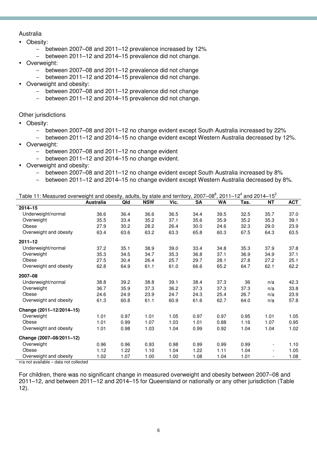#### Australia

- Obesity:
	- − between 2007–08 and 2011–12 prevalence increased by 12%
	- − between 2011–12 and 2014–15 prevalence did not change.
- Overweight:
	- − between 2007–08 and 2011–12 prevalence did not change
	- − between 2011–12 and 2014–15 prevalence did not change.
- Overweight and obesity:
	- − between 2007–08 and 2011–12 prevalence did not change
	- − between 2011–12 and 2014–15 prevalence did not change.

Other jurisdictions

- Obesity:
	- − between 2007–08 and 2011–12 no change evident except South Australia increased by 22%
	- − between 2011–12 and 2014–15 no change evident except Western Australia decreased by 12%.
- Overweight:
	- − between 2007–08 and 2011–12 no change evident
	- − between 2011–12 and 2014–15 no change evident.
- Overweight and obesity:
	- − between 2007–08 and 2011–12 no change evident except South Australia increased by 8%
	- − between 2011–12 and 2014–15 no change evident except Western Australia decreased by 8%.

| Table 11: Measured overweight and obesity, adults, by state and territory, 2007–08 <sup>8</sup> , 2011–12 <sup>4</sup> and 2014–15 <sup>2</sup> |                  |      |            |      |           |           |      |                          |            |
|-------------------------------------------------------------------------------------------------------------------------------------------------|------------------|------|------------|------|-----------|-----------|------|--------------------------|------------|
|                                                                                                                                                 | <b>Australia</b> | Qld  | <b>NSW</b> | Vic. | <b>SA</b> | <b>WA</b> | Tas. | ΝT                       | <b>ACT</b> |
| $2014 - 15$                                                                                                                                     |                  |      |            |      |           |           |      |                          |            |
| Underweight/normal                                                                                                                              | 36.6             | 36.4 | 36.6       | 36.5 | 34.4      | 39.5      | 32.5 | 35.7                     | 37.0       |
| Overweight                                                                                                                                      | 35.5             | 33.4 | 35.2       | 37.1 | 35.6      | 35.9      | 35.2 | 35.3                     | 39.1       |
| Obese                                                                                                                                           | 27.9             | 30.2 | 28.2       | 26.4 | 30.0      | 24.6      | 32.3 | 29.0                     | 23.9       |
| Overweight and obesity                                                                                                                          | 63.4             | 63.6 | 63.2       | 63.3 | 65.8      | 60.3      | 67.5 | 64.3                     | 63.5       |
| $2011 - 12$                                                                                                                                     |                  |      |            |      |           |           |      |                          |            |
| Underweight/normal                                                                                                                              | 37.2             | 35.1 | 38.9       | 39.0 | 33.4      | 34.8      | 35.3 | 37.9                     | 37.8       |
| Overweight                                                                                                                                      | 35.3             | 34.5 | 34.7       | 35.3 | 36.8      | 37.1      | 36.9 | 34.9                     | 37.1       |
| Obese                                                                                                                                           | 27.5             | 30.4 | 26.4       | 25.7 | 29.7      | 28.1      | 27.8 | 27.2                     | 25.1       |
| Overweight and obesity                                                                                                                          | 62.8             | 64.9 | 61.1       | 61.0 | 66.6      | 65.2      | 64.7 | 62.1                     | 62.2       |
| 2007-08                                                                                                                                         |                  |      |            |      |           |           |      |                          |            |
| Underweight/normal                                                                                                                              | 38.8             | 39.2 | 38.8       | 39.1 | 38.4      | 37.3      | 36   | n/a                      | 42.3       |
| Overweight                                                                                                                                      | 36.7             | 35.9 | 37.3       | 36.2 | 37.3      | 37.3      | 37.3 | n/a                      | 33.8       |
| Obese                                                                                                                                           | 24.6             | 24.9 | 23.9       | 24.7 | 24.3      | 25.4      | 26.7 | n/a                      | 23.9       |
| Overweight and obesity                                                                                                                          | 61.3             | 60.8 | 61.1       | 60.9 | 61.6      | 62.7      | 64.0 | n/a                      | 57.8       |
| Change (2011-12/2014-15)                                                                                                                        |                  |      |            |      |           |           |      |                          |            |
| Overweight                                                                                                                                      | 1.01             | 0.97 | 1.01       | 1.05 | 0.97      | 0.97      | 0.95 | 1.01                     | 1.05       |
| Obese                                                                                                                                           | 1.01             | 0.99 | 1.07       | 1.03 | 1.01      | 0.88      | 1.16 | 1.07                     | 0.95       |
| Overweight and obesity                                                                                                                          | 1.01             | 0.98 | 1.03       | 1.04 | 0.99      | 0.92      | 1.04 | 1.04                     | 1.02       |
| Change (2007-08/2011-12)                                                                                                                        |                  |      |            |      |           |           |      |                          |            |
| Overweight                                                                                                                                      | 0.96             | 0.96 | 0.93       | 0.98 | 0.99      | 0.99      | 0.99 | $\overline{\phantom{a}}$ | 1.10       |
| Obese                                                                                                                                           | 1.12             | 1.22 | 1.10       | 1.04 | 1.22      | 1.11      | 1.04 | $\overline{\phantom{a}}$ | 1.05       |
| Overweight and obesity                                                                                                                          | 1.02             | 1.07 | 1.00       | 1.00 | 1.08      | 1.04      | 1.01 | $\overline{\phantom{a}}$ | 1.08       |

n/a not available – data not collected

For children, there was no significant change in measured overweight and obesity between 2007–08 and 2011–12, and between 2011–12 and 2014–15 for Queensland or nationally or any other jurisdiction (Table 12).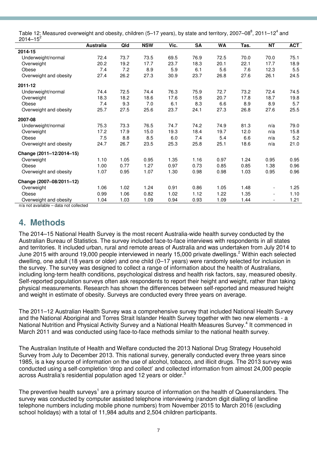| Table 12: Measured overweight and obesity, children (5–17 years), by state and territory, 2007–08 <sup>8</sup> , 2011–12 <sup>4</sup> and |  |  |
|-------------------------------------------------------------------------------------------------------------------------------------------|--|--|
| $2014 - 15^2$                                                                                                                             |  |  |

| טו דו ט                  |                  |      |            |      |           |           |      |                              |            |
|--------------------------|------------------|------|------------|------|-----------|-----------|------|------------------------------|------------|
|                          | <b>Australia</b> | Qld  | <b>NSW</b> | Vic. | <b>SA</b> | <b>WA</b> | Tas. | <b>NT</b>                    | <b>ACT</b> |
| 2014-15                  |                  |      |            |      |           |           |      |                              |            |
| Underweight/normal       | 72.4             | 73.7 | 73.5       | 69.5 | 76.9      | 72.5      | 70.0 | 70.0                         | 75.1       |
| Overweight               | 20.2             | 19.2 | 17.7       | 23.7 | 18.3      | 20.1      | 22.1 | 17.7                         | 18.9       |
| Obese                    | 7.4              | 7.2  | 8.9        | 5.9  | 6.1       | 5.6       | 7.6  | 12.3                         | 5.5        |
| Overweight and obesity   | 27.4             | 26.2 | 27.3       | 30.9 | 23.7      | 26.8      | 27.6 | 26.1                         | 24.5       |
| 2011-12                  |                  |      |            |      |           |           |      |                              |            |
| Underweight/normal       | 74.4             | 72.5 | 74.4       | 76.3 | 75.9      | 72.7      | 73.2 | 72.4                         | 74.5       |
| Overweight               | 18.3             | 18.2 | 18.6       | 17.6 | 15.8      | 20.7      | 17.8 | 18.7                         | 19.8       |
| Obese                    | 7.4              | 9.3  | 7.0        | 6.1  | 8.3       | 6.6       | 8.9  | 8.9                          | 5.7        |
| Overweight and obesity   | 25.7             | 27.5 | 25.6       | 23.7 | 24.1      | 27.3      | 26.8 | 27.6                         | 25.5       |
| 2007-08                  |                  |      |            |      |           |           |      |                              |            |
| Underweight/normal       | 75.3             | 73.3 | 76.5       | 74.7 | 74.2      | 74.9      | 81.3 | n/a                          | 79.0       |
| Overweight               | 17.2             | 17.9 | 15.0       | 19.3 | 18.4      | 19.7      | 12.0 | n/a                          | 15.8       |
| Obese                    | 7.5              | 8.8  | 8.5        | 6.0  | 7.4       | 5.4       | 6.6  | n/a                          | 5.2        |
| Overweight and obesity   | 24.7             | 26.7 | 23.5       | 25.3 | 25.8      | 25.1      | 18.6 | n/a                          | 21.0       |
| Change (2011-12/2014-15) |                  |      |            |      |           |           |      |                              |            |
| Overweight               | 1.10             | 1.05 | 0.95       | 1.35 | 1.16      | 0.97      | 1.24 | 0.95                         | 0.95       |
| Obese                    | 1.00             | 0.77 | 1.27       | 0.97 | 0.73      | 0.85      | 0.85 | 1.38                         | 0.96       |
| Overweight and obesity   | 1.07             | 0.95 | 1.07       | 1.30 | 0.98      | 0.98      | 1.03 | 0.95                         | 0.96       |
| Change (2007-08/2011-12) |                  |      |            |      |           |           |      |                              |            |
| Overweight               | 1.06             | 1.02 | 1.24       | 0.91 | 0.86      | 1.05      | 1.48 | $\qquad \qquad \blacksquare$ | 1.25       |
| Obese                    | 0.99             | 1.06 | 0.82       | 1.02 | 1.12      | 1.22      | 1.35 | $\overline{\phantom{a}}$     | 1.10       |
| Overweight and obesity   | 1.04             | 1.03 | 1.09       | 0.94 | 0.93      | 1.09      | 1.44 | $\overline{\phantom{a}}$     | 1.21       |
|                          |                  |      |            |      |           |           |      |                              |            |

n/a not available – data not collected

### **4. Methods**

The 2014–15 National Health Survey is the most recent Australia-wide health survey conducted by the Australian Bureau of Statistics. The survey included face-to-face interviews with respondents in all states and territories. It included urban, rural and remote areas of Australia and was undertaken from July 2014 to June 2015 with around 19,000 people interviewed in nearly 15,000 private dwellings.<sup>2</sup> Within each selected dwelling, one adult (18 years or older) and one child (0–17 years) were randomly selected for inclusion in the survey. The survey was designed to collect a range of information about the health of Australians, including long-term health conditions, psychological distress and health risk factors, say, measured obesity. Self-reported population surveys often ask respondents to report their height and weight, rather than taking physical measurements. Research has shown the differences between self-reported and measured height and weight in estimate of obesity. Surveys are conducted every three years on average.

The 2011–12 Australian Health Survey was a comprehensive survey that included National Health Survey and the National Aboriginal and Torres Strait Islander Health Survey together with two new elements - a National Nutrition and Physical Activity Survey and a National Health Measures Survey.<sup>4</sup> It commenced in March 2011 and was conducted using face-to-face methods similar to the national health survey.

The Australian Institute of Health and Welfare conducted the 2013 National Drug Strategy Household Survey from July to December 2013. This national survey, generally conducted every three years since 1985, is a key source of information on the use of alcohol, tobacco, and illicit drugs. The 2013 survey was conducted using a self-completion 'drop and collect' and collected information from almost 24,000 people across Australia's residential population aged 12 years or older.<sup>3</sup>

The preventive health surveys<sup>1</sup> are a primary source of information on the health of Queenslanders. The survey was conducted by computer assisted telephone interviewing (random digit dialling of landline telephone numbers including mobile phone numbers) from November 2015 to March 2016 (excluding school holidays) with a total of 11,984 adults and 2,504 children participants.